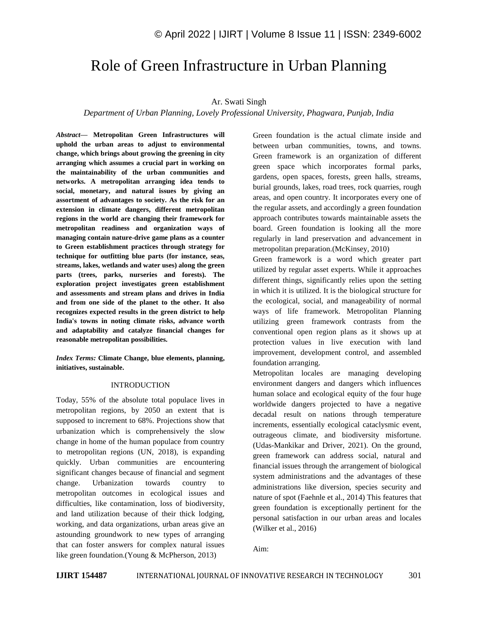# Role of Green Infrastructure in Urban Planning

## Ar. Swati Singh

### *Department of Urban Planning, Lovely Professional University, Phagwara, Punjab, India*

*Abstract—* **Metropolitan Green Infrastructures will uphold the urban areas to adjust to environmental change, which brings about growing the greening in city arranging which assumes a crucial part in working on the maintainability of the urban communities and networks. A metropolitan arranging idea tends to social, monetary, and natural issues by giving an assortment of advantages to society. As the risk for an extension in climate dangers, different metropolitan regions in the world are changing their framework for metropolitan readiness and organization ways of managing contain nature-drive game plans as a counter to Green establishment practices through strategy for technique for outfitting blue parts (for instance, seas, streams, lakes, wetlands and water uses) along the green parts (trees, parks, nurseries and forests). The exploration project investigates green establishment and assessments and stream plans and drives in India and from one side of the planet to the other. It also recognizes expected results in the green district to help India's towns in noting climate risks, advance worth and adaptability and catalyze financial changes for reasonable metropolitan possibilities.**

*Index Terms:* **Climate Change, blue elements, planning, initiatives, sustainable.**

# INTRODUCTION

Today, 55% of the absolute total populace lives in metropolitan regions, by 2050 an extent that is supposed to increment to 68%. Projections show that urbanization which is comprehensively the slow change in home of the human populace from country to metropolitan regions (UN, 2018), is expanding quickly. Urban communities are encountering significant changes because of financial and segment change. Urbanization towards country to metropolitan outcomes in ecological issues and difficulties, like contamination, loss of biodiversity, and land utilization because of their thick lodging, working, and data organizations, urban areas give an astounding groundwork to new types of arranging that can foster answers for complex natural issues like green foundation.(Young & McPherson, 2013)

Green foundation is the actual climate inside and between urban communities, towns, and towns. Green framework is an organization of different green space which incorporates formal parks, gardens, open spaces, forests, green halls, streams, burial grounds, lakes, road trees, rock quarries, rough areas, and open country. It incorporates every one of the regular assets, and accordingly a green foundation approach contributes towards maintainable assets the board. Green foundation is looking all the more regularly in land preservation and advancement in metropolitan preparation.(McKinsey, 2010)

Green framework is a word which greater part utilized by regular asset experts. While it approaches different things, significantly relies upon the setting in which it is utilized. It is the biological structure for the ecological, social, and manageability of normal ways of life framework. Metropolitan Planning utilizing green framework contrasts from the conventional open region plans as it shows up at protection values in live execution with land improvement, development control, and assembled foundation arranging.

Metropolitan locales are managing developing environment dangers and dangers which influences human solace and ecological equity of the four huge worldwide dangers projected to have a negative decadal result on nations through temperature increments, essentially ecological cataclysmic event, outrageous climate, and biodiversity misfortune. (Udas-Mankikar and Driver, 2021). On the ground, green framework can address social, natural and financial issues through the arrangement of biological system administrations and the advantages of these administrations like diversion, species security and nature of spot (Faehnle et al., 2014) This features that green foundation is exceptionally pertinent for the personal satisfaction in our urban areas and locales (Wilker et al., 2016)

Aim: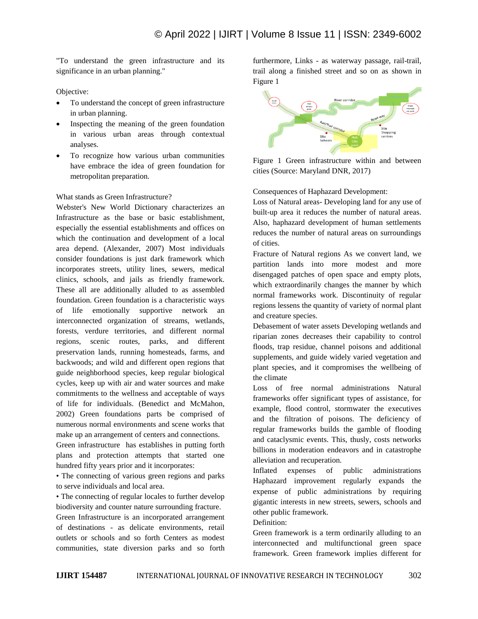"To understand the green infrastructure and its significance in an urban planning."

Objective:

- To understand the concept of green infrastructure in urban planning.
- Inspecting the meaning of the green foundation in various urban areas through contextual analyses.
- To recognize how various urban communities have embrace the idea of green foundation for metropolitan preparation.

# What stands as Green Infrastructure?

Webster's New World Dictionary characterizes an Infrastructure as the base or basic establishment, especially the essential establishments and offices on which the continuation and development of a local area depend. (Alexander, 2007) Most individuals consider foundations is just dark framework which incorporates streets, utility lines, sewers, medical clinics, schools, and jails as friendly framework. These all are additionally alluded to as assembled foundation. Green foundation is a characteristic ways of life emotionally supportive network an interconnected organization of streams, wetlands, forests, verdure territories, and different normal regions, scenic routes, parks, and different preservation lands, running homesteads, farms, and backwoods; and wild and different open regions that guide neighborhood species, keep regular biological cycles, keep up with air and water sources and make commitments to the wellness and acceptable of ways of life for individuals. (Benedict and McMahon, 2002) Green foundations parts be comprised of numerous normal environments and scene works that make up an arrangement of centers and connections.

Green infrastructure has establishes in putting forth plans and protection attempts that started one hundred fifty years prior and it incorporates:

• The connecting of various green regions and parks to serve individuals and local area.

• The connecting of regular locales to further develop biodiversity and counter nature surrounding fracture.

Green Infrastructure is an incorporated arrangement of destinations - as delicate environments, retail outlets or schools and so forth Centers as modest communities, state diversion parks and so forth furthermore, Links - as waterway passage, rail-trail, trail along a finished street and so on as shown in [Figure 1](#page-1-0)



<span id="page-1-0"></span>Figure 1 Green infrastructure within and between cities (Source: Maryland DNR, 2017)

Consequences of Haphazard Development:

Loss of Natural areas- Developing land for any use of built-up area it reduces the number of natural areas. Also, haphazard development of human settlements reduces the number of natural areas on surroundings of cities.

Fracture of Natural regions As we convert land, we partition lands into more modest and more disengaged patches of open space and empty plots, which extraordinarily changes the manner by which normal frameworks work. Discontinuity of regular regions lessens the quantity of variety of normal plant and creature species.

Debasement of water assets Developing wetlands and riparian zones decreases their capability to control floods, trap residue, channel poisons and additional supplements, and guide widely varied vegetation and plant species, and it compromises the wellbeing of the climate

Loss of free normal administrations Natural frameworks offer significant types of assistance, for example, flood control, stormwater the executives and the filtration of poisons. The deficiency of regular frameworks builds the gamble of flooding and cataclysmic events. This, thusly, costs networks billions in moderation endeavors and in catastrophe alleviation and recuperation.

Inflated expenses of public administrations Haphazard improvement regularly expands the expense of public administrations by requiring gigantic interests in new streets, sewers, schools and other public framework.

Definition:

Green framework is a term ordinarily alluding to an interconnected and multifunctional green space framework. Green framework implies different for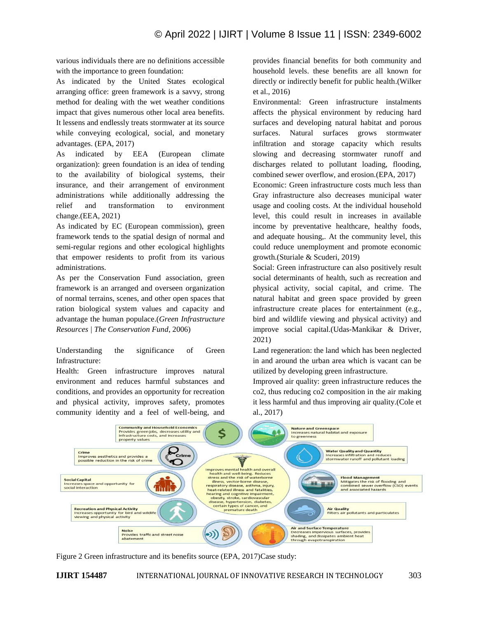various individuals there are no definitions accessible with the importance to green foundation:

As indicated by the United States ecological arranging office: green framework is a savvy, strong method for dealing with the wet weather conditions impact that gives numerous other local area benefits. It lessens and endlessly treats stormwater at its source while conveying ecological, social, and monetary advantages. (EPA, 2017)

As indicated by EEA (European climate organization): green foundation is an idea of tending to the availability of biological systems, their insurance, and their arrangement of environment administrations while additionally addressing the relief and transformation to environment change.(EEA, 2021)

As indicated by EC (European commission), green framework tends to the spatial design of normal and semi-regular regions and other ecological highlights that empower residents to profit from its various administrations.

As per the Conservation Fund association, green framework is an arranged and overseen organization of normal terrains, scenes, and other open spaces that ration biological system values and capacity and advantage the human populace.(*Green Infrastructure Resources | The Conservation Fund*, 2006)

Understanding the significance of Green Infrastructure:

Health: Green infrastructure improves natural environment and reduces harmful substances and conditions, and provides an opportunity for recreation and physical activity, improves safety, promotes community identity and a feel of well-being, and

provides financial benefits for both community and household levels. these benefits are all known for directly or indirectly benefit for public health.(Wilker et al., 2016)

Environmental: Green infrastructure instalments affects the physical environment by reducing hard surfaces and developing natural habitat and porous surfaces. Natural surfaces grows stormwater infiltration and storage capacity which results slowing and decreasing stormwater runoff and discharges related to pollutant loading, flooding, combined sewer overflow, and erosion.(EPA, 2017)

Economic: Green infrastructure costs much less than Gray infrastructure also decreases municipal water usage and cooling costs. At the individual household level, this could result in increases in available income by preventative healthcare, healthy foods, and adequate housing,. At the community level, this could reduce unemployment and promote economic growth.(Sturiale & Scuderi, 2019)

Social: Green infrastructure can also positively result social determinants of health, such as recreation and physical activity, social capital, and crime. The natural habitat and green space provided by green infrastructure create places for entertainment (e.g., bird and wildlife viewing and physical activity) and improve social capital.(Udas-Mankikar & Driver, 2021)

Land regeneration: the land which has been neglected in and around the urban area which is vacant can be utilized by developing green infrastructure.

Improved air quality: green infrastructure reduces the co2, thus reducing co2 composition in the air making it less harmful and thus improving air quality.(Cole et al., 2017)



Figure 2 Green infrastructure and its benefits source (EPA, 2017)Case study: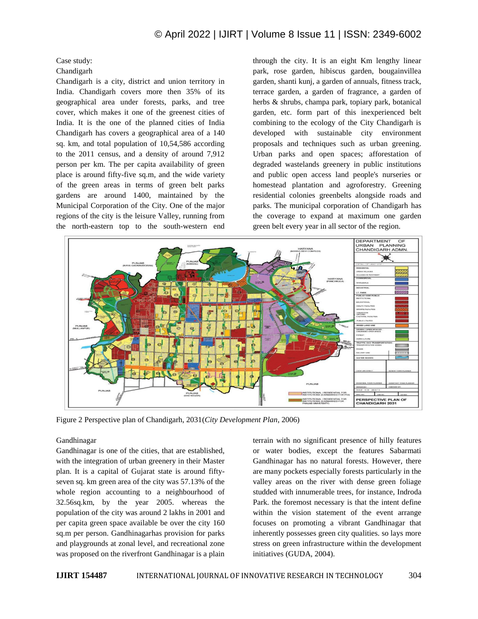# © April 2022 | IJIRT | Volume 8 Issue 11 | ISSN: 2349-6002

Case study:

## Chandigarh

Chandigarh is a city, district and union territory in India. Chandigarh covers more then 35% of its geographical area under forests, parks, and tree cover, which makes it one of the greenest cities of India. It is the one of the planned cities of India Chandigarh has covers a geographical area of a 140 sq. km, and total population of 10,54,586 according to the 2011 census, and a density of around 7,912 person per km. The per capita availability of green place is around fifty-five sq.m, and the wide variety of the green areas in terms of green belt parks gardens are around 1400, maintained by the Municipal Corporation of the City. One of the major regions of the city is the leisure Valley, running from the north-eastern top to the south-western end through the city. It is an eight Km lengthy linear park, rose garden, hibiscus garden, bougainvillea garden, shanti kunj, a garden of annuals, fitness track, terrace garden, a garden of fragrance, a garden of herbs & shrubs, champa park, topiary park, botanical garden, etc. form part of this inexperienced belt combining to the ecology of the City Chandigarh is developed with sustainable city environment proposals and techniques such as urban greening. Urban parks and open spaces; afforestation of degraded wastelands greenery in public institutions and public open access land people's nurseries or homestead plantation and agroforestry. Greening residential colonies greenbelts alongside roads and parks. The municipal corporation of Chandigarh has the coverage to expand at maximum one garden green belt every year in all sector of the region.



Figure 2 Perspective plan of Chandigarh, 2031(*City Development Plan*, 2006)

### Gandhinagar

Gandhinagar is one of the cities, that are established, with the integration of urban greenery in their Master plan. It is a capital of Gujarat state is around fiftyseven sq. km green area of the city was 57.13% of the whole region accounting to a neighbourhood of 32.56sq.km, by the year 2005. whereas the population of the city was around 2 lakhs in 2001 and per capita green space available be over the city 160 sq.m per person. Gandhinagarhas provision for parks and playgrounds at zonal level, and recreational zone was proposed on the riverfront Gandhinagar is a plain

terrain with no significant presence of hilly features or water bodies, except the features Sabarmati Gandhinagar has no natural forests. However, there are many pockets especially forests particularly in the valley areas on the river with dense green foliage studded with innumerable trees, for instance, Indroda Park. the foremost necessary is that the intent define within the vision statement of the event arrange focuses on promoting a vibrant Gandhinagar that inherently possesses green city qualities. so lays more stress on green infrastructure within the development initiatives (GUDA, 2004).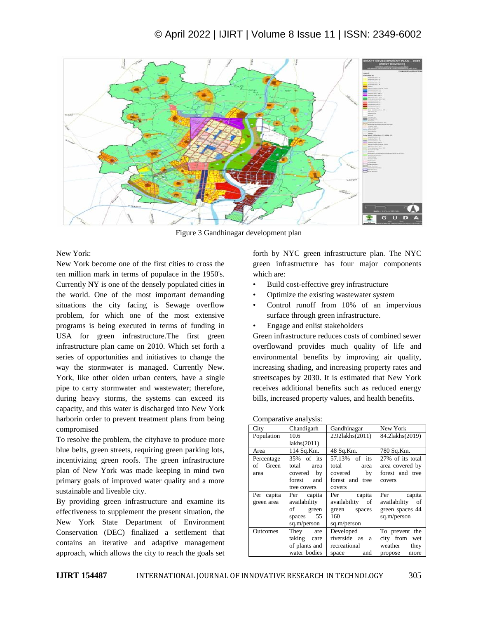

Figure 3 Gandhinagar development plan

New York:

New York become one of the first cities to cross the ten million mark in terms of populace in the 1950's. Currently NY is one of the densely populated cities in the world. One of the most important demanding situations the city facing is Sewage overflow problem, for which one of the most extensive programs is being executed in terms of funding in USA for green infrastructure.The first green infrastructure plan came on 2010. Which set forth a series of opportunities and initiatives to change the way the stormwater is managed. Currently New. York, like other olden urban centers, have a single pipe to carry stormwater and wastewater; therefore, during heavy storms, the systems can exceed its capacity, and this water is discharged into New York harborin order to prevent treatment plans from being compromised

To resolve the problem, the cityhave to produce more blue belts, green streets, requiring green parking lots, incentivizing green roofs. The green infrastructure plan of New York was made keeping in mind two primary goals of improved water quality and a more sustainable and liveable city.

By providing green infrastructure and examine its effectiveness to supplement the present situation, the New York State Department of Environment Conservation (DEC) finalized a settlement that contains an iterative and adaptive management approach, which allows the city to reach the goals set

forth by NYC green infrastructure plan. The NYC green infrastructure has four major components which are:

- Build cost-effective grey infrastructure
- Optimize the existing wastewater system
- Control runoff from 10% of an impervious surface through green infrastructure.
- Engage and enlist stakeholders

Green infrastructure reduces costs of combined sewer overflowand provides much quality of life and environmental benefits by improving air quality, increasing shading, and increasing property rates and streetscapes by 2030. It is estimated that New York receives additional benefits such as reduced energy bills, increased property values, and health benefits.

| City       | Chandigarh    | Gandhinagar     | New York           |
|------------|---------------|-----------------|--------------------|
| Population | 10.6          | 2.92lakhs(2011) | 84.2lakhs(2019)    |
|            | lakhs(2011)   |                 |                    |
| Area       | 114 Sq.Km.    | 48 Sq.Km.       | 780 Sq.Km.         |
| Percentage | 35% of its    | 57.13% of its   | 27% of its total   |
| of Green   | total area    | total area      | area covered by    |
| area       | covered by    | covered<br>by   | forest and tree    |
|            | forest and    | forest and tree | covers             |
|            | tree covers   | covers          |                    |
| Per capita | Per capita    | Per capita      | Per capita         |
| green area | availability  | availability of | availability<br>of |
|            | of green      | green spaces    | green spaces 44    |
|            | spaces 55     | 160             | sq.m/person        |
|            | sq.m/person   | sq.m/person     |                    |
| Outcomes   | They are      | Developed       | To prevent the     |
|            | taking care   | riverside as a  | city from wet      |
|            | of plants and | recreational    | weather<br>they    |
|            | water bodies  | and<br>space    | propose<br>more    |

| Comparative analysis: |  |  |
|-----------------------|--|--|
|                       |  |  |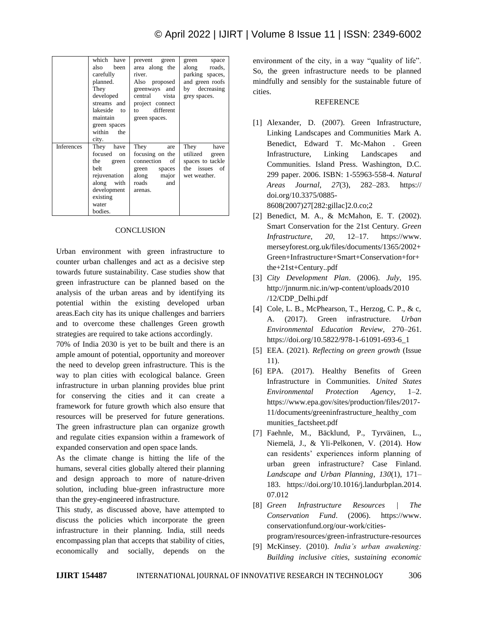|                   | which have<br>been<br>also<br>carefully<br>planned.<br>They<br>developed<br>streams and<br>lakeside to<br>maintain<br>green spaces<br>within the<br>city. | prevent green<br>area along the<br>river.<br>Also proposed<br>greenways and<br>central vista<br>project connect<br>to different<br>green spaces. | green<br>space<br>along roads,<br>parking spaces,<br>and green roofs<br>by decreasing<br>grey spaces. |
|-------------------|-----------------------------------------------------------------------------------------------------------------------------------------------------------|--------------------------------------------------------------------------------------------------------------------------------------------------|-------------------------------------------------------------------------------------------------------|
| <b>Inferences</b> | They have<br>focused on<br>the green<br><b>belt</b><br>rejuvenation<br>along with<br>development<br>existing<br>water<br>bodies.                          | They<br>are<br>focusing on the<br>connection<br>of<br>green<br>spaces<br>along major<br>roads<br>and<br>arenas.                                  | They<br>have<br>utilized<br>green<br>spaces to tackle<br>the issues of<br>wet weather.                |

### **CONCLUSION**

Urban environment with green infrastructure to counter urban challenges and act as a decisive step towards future sustainability. Case studies show that green infrastructure can be planned based on the analysis of the urban areas and by identifying its potential within the existing developed urban areas.Each city has its unique challenges and barriers and to overcome these challenges Green growth strategies are required to take actions accordingly.

70% of India 2030 is yet to be built and there is an ample amount of potential, opportunity and moreover the need to develop green infrastructure. This is the way to plan cities with ecological balance. Green infrastructure in urban planning provides blue print for conserving the cities and it can create a framework for future growth which also ensure that resources will be preserved for future generations. The green infrastructure plan can organize growth and regulate cities expansion within a framework of expanded conservation and open space lands.

As the climate change is hitting the life of the humans, several cities globally altered their planning and design approach to more of nature-driven solution, including blue-green infrastructure more than the grey-engineered infrastructure.

This study, as discussed above, have attempted to discuss the policies which incorporate the green infrastructure in their planning. India, still needs encompassing plan that accepts that stability of cities, economically and socially, depends on the

environment of the city, in a way "quality of life". So, the green infrastructure needs to be planned mindfully and sensibly for the sustainable future of cities.

### REFERENCE

- [1] Alexander, D. (2007). Green Infrastructure, Linking Landscapes and Communities Mark A. Benedict, Edward T. Mc-Mahon . Green Infrastructure, Linking Landscapes and Communities. Island Press. Washington, D.C. 299 paper. 2006. ISBN: 1-55963-558-4. *Natural Areas Journal*, *27*(3), 282–283. https:// doi.org/10.3375/0885- 8608(2007)27[282:gillac]2.0.co;2
- [2] Benedict, M. A., & McMahon, E. T. (2002). Smart Conservation for the 21st Century. *Green Infrastructure*, *20*, 12–17. https://www. merseyforest.org.uk/files/documents/1365/2002+ Green+Infrastructure+Smart+Conservation+for+ the+21st+Century..pdf
- [3] *City Development Plan*. (2006). *July*, 195. http://jnnurm.nic.in/wp-content/uploads/2010 /12/CDP\_Delhi.pdf
- [4] Cole, L. B., McPhearson, T., Herzog, C. P., & c, A. (2017). Green infrastructure. *Urban Environmental Education Review*, 270–261. https://doi.org/10.5822/978-1-61091-693-6\_1
- [5] EEA. (2021). *Reflecting on green growth* (Issue 11).
- [6] EPA. (2017). Healthy Benefits of Green Infrastructure in Communities. *United States Environmental Protection Agency*, 1–2. https://www.epa.gov/sites/production/files/2017- 11/documents/greeninfrastructure\_healthy\_com munities factsheet.pdf
- [7] Faehnle, M., Bäcklund, P., Tyrväinen, L., Niemelä, J., & Yli-Pelkonen, V. (2014). How can residents' experiences inform planning of urban green infrastructure? Case Finland. *Landscape and Urban Planning*, *130*(1), 171– 183. https://doi.org/10.1016/j.landurbplan.2014. 07.012
- [8] *Green Infrastructure Resources | The Conservation Fund*. (2006). https://www. conservationfund.org/our-work/citiesprogram/resources/green-infrastructure-resources
- [9] McKinsey. (2010). *India's urban awakening: Building inclusive cities, sustaining economic*